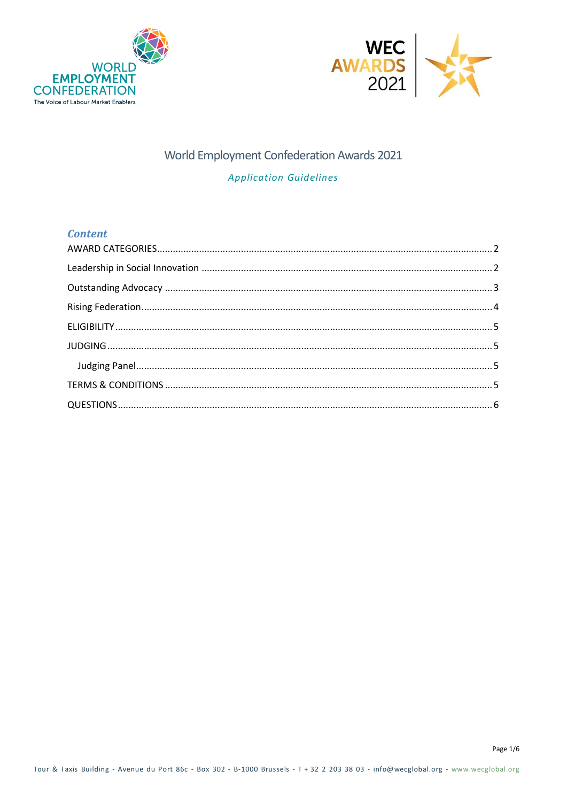



# World Employment Confederation Awards 2021

**Application Guidelines** 

# **Content**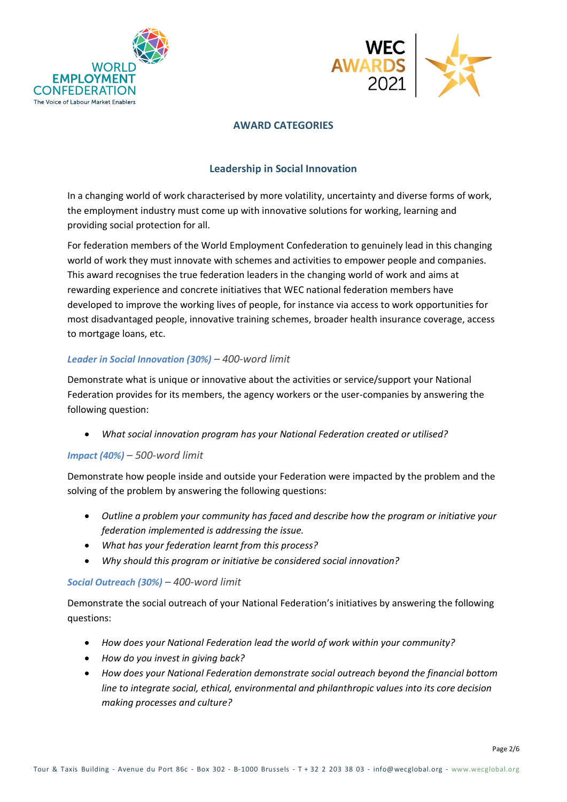



### **AWARD CATEGORIES**

# **Leadership in Social Innovation**

<span id="page-1-1"></span><span id="page-1-0"></span>In a changing world of work characterised by more volatility, uncertainty and diverse forms of work, the employment industry must come up with innovative solutions for working, learning and providing social protection for all.

For federation members of the World Employment Confederation to genuinely lead in this changing world of work they must innovate with schemes and activities to empower people and companies. This award recognises the true federation leaders in the changing world of work and aims at rewarding experience and concrete initiatives that WEC national federation members have developed to improve the working lives of people, for instance via access to work opportunities for most disadvantaged people, innovative training schemes, broader health insurance coverage, access to mortgage loans, etc.

# *Leader in Social Innovation (30%) – 400-word limit*

Demonstrate what is unique or innovative about the activities or service/support your National Federation provides for its members, the agency workers or the user-companies by answering the following question:

• *What social innovation program has your National Federation created or utilised?*

#### *Impact (40%) – 500-word limit*

Demonstrate how people inside and outside your Federation were impacted by the problem and the solving of the problem by answering the following questions:

- *Outline a problem your community has faced and describe how the program or initiative your federation implemented is addressing the issue.*
- *What has your federation learnt from this process?*
- *Why should this program or initiative be considered social innovation?*

# *Social Outreach (30%) – 400-word limit*

Demonstrate the social outreach of your National Federation's initiatives by answering the following questions:

- *How does your National Federation lead the world of work within your community?*
- *How do you invest in giving back?*
- *How does your National Federation demonstrate social outreach beyond the financial bottom line to integrate social, ethical, environmental and philanthropic values into its core decision making processes and culture?*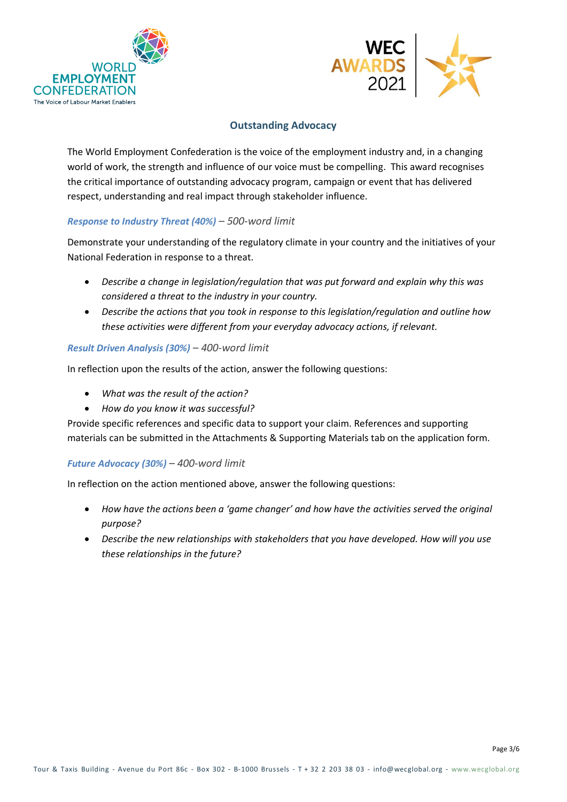



### **Outstanding Advocacy**

<span id="page-2-0"></span>The World Employment Confederation is the voice of the employment industry and, in a changing world of work, the strength and influence of our voice must be compelling. This award recognises the critical importance of outstanding advocacy program, campaign or event that has delivered respect, understanding and real impact through stakeholder influence.

#### *Response to Industry Threat (40%) – 500-word limit*

Demonstrate your understanding of the regulatory climate in your country and the initiatives of your National Federation in response to a threat.

- *Describe a change in legislation/regulation that was put forward and explain why this was considered a threat to the industry in your country.*
- *Describe the actions that you took in response to this legislation/regulation and outline how these activities were different from your everyday advocacy actions, if relevant.*

#### *Result Driven Analysis (30%) – 400-word limit*

In reflection upon the results of the action, answer the following questions:

- *What was the result of the action?*
- *How do you know it was successful?*

Provide specific references and specific data to support your claim. References and supporting materials can be submitted in the Attachments & Supporting Materials tab on the application form.

#### *Future Advocacy (30%) – 400-word limit*

In reflection on the action mentioned above, answer the following questions:

- *How have the actions been a 'game changer' and how have the activities served the original purpose?*
- *Describe the new relationships with stakeholders that you have developed. How will you use these relationships in the future?*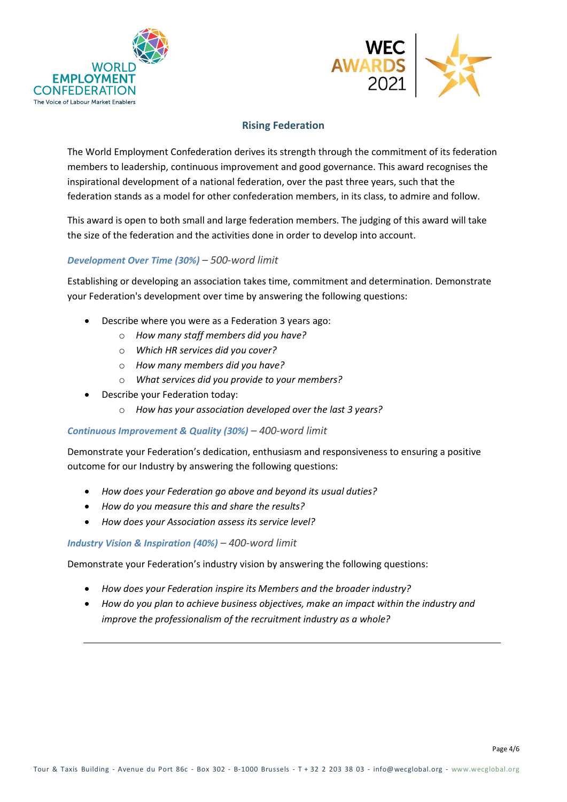



# **Rising Federation**

<span id="page-3-0"></span>The World Employment Confederation derives its strength through the commitment of its federation members to leadership, continuous improvement and good governance. This award recognises the inspirational development of a national federation, over the past three years, such that the federation stands as a model for other confederation members, in its class, to admire and follow.

This award is open to both small and large federation members. The judging of this award will take the size of the federation and the activities done in order to develop into account.

#### *Development Over Time (30%) – 500-word limit*

Establishing or developing an association takes time, commitment and determination. Demonstrate your Federation's development over time by answering the following questions:

- Describe where you were as a Federation 3 years ago:
	- o *How many staff members did you have?*
	- o *Which HR services did you cover?*
	- o *How many members did you have?*
	- o *What services did you provide to your members?*
- Describe your Federation today:
	- o *How has your association developed over the last 3 years?*

#### *Continuous Improvement & Quality (30%) – 400-word limit*

Demonstrate your Federation's dedication, enthusiasm and responsiveness to ensuring a positive outcome for our Industry by answering the following questions:

- *How does your Federation go above and beyond its usual duties?*
- *How do you measure this and share the results?*
- *How does your Association assess its service level?*

*Industry Vision & Inspiration (40%) – 400-word limit*

Demonstrate your Federation's industry vision by answering the following questions:

- *How does your Federation inspire its Members and the broader industry?*
- *How do you plan to achieve business objectives, make an impact within the industry and improve the professionalism of the recruitment industry as a whole?*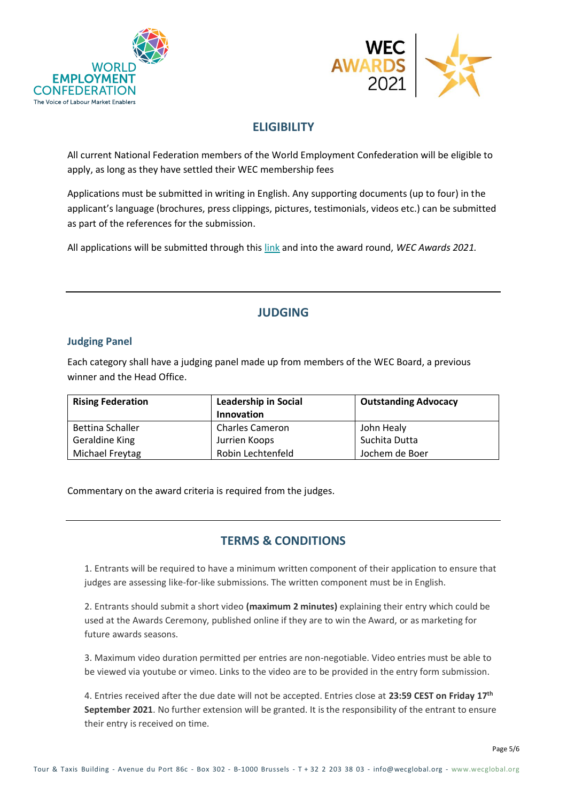



# **ELIGIBILITY**

<span id="page-4-0"></span>All current National Federation members of the World Employment Confederation will be eligible to apply, as long as they have settled their WEC membership fees

Applications must be submitted in writing in English. Any supporting documents (up to four) in the applicant's language (brochures, press clippings, pictures, testimonials, videos etc.) can be submitted as part of the references for the submission.

All applications will be submitted through this [link](https://wecglobalawards.awardsplatform.com/) and into the award round, *WEC Awards 2021.*

# **JUDGING**

# <span id="page-4-2"></span><span id="page-4-1"></span>**Judging Panel**

Each category shall have a judging panel made up from members of the WEC Board, a previous winner and the Head Office.

| <b>Rising Federation</b> | <b>Leadership in Social</b> | <b>Outstanding Advocacy</b> |
|--------------------------|-----------------------------|-----------------------------|
|                          | Innovation                  |                             |
| <b>Bettina Schaller</b>  | <b>Charles Cameron</b>      | John Healy                  |
| <b>Geraldine King</b>    | Jurrien Koops               | Suchita Dutta               |
| Michael Freytag          | Robin Lechtenfeld           | Jochem de Boer              |

Commentary on the award criteria is required from the judges.

# **TERMS & CONDITIONS**

<span id="page-4-3"></span>1. Entrants will be required to have a minimum written component of their application to ensure that judges are assessing like-for-like submissions. The written component must be in English.

2. Entrants should submit a short video **(maximum 2 minutes)** explaining their entry which could be used at the Awards Ceremony, published online if they are to win the Award, or as marketing for future awards seasons.

3. Maximum video duration permitted per entries are non-negotiable. Video entries must be able to be viewed via youtube or vimeo. Links to the video are to be provided in the entry form submission.

4. Entries received after the due date will not be accepted. Entries close at **23:59 CEST on Friday 17th September 2021**. No further extension will be granted. It is the responsibility of the entrant to ensure their entry is received on time.